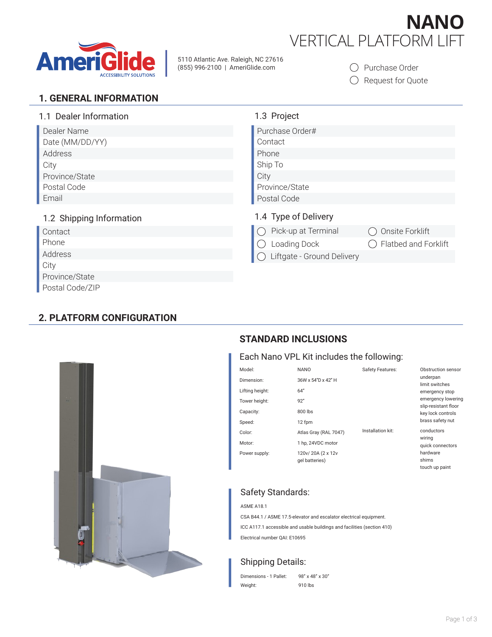

5110 Atlantic Ave. Raleigh, NC 27616 (855) 996-2100 | AmeriGlide.com



O Purchase Order

O Request for Quote

**NANO**

#### **1. GENERAL INFORMATION**

| 1.1 Dealer Information   | 1.3 Project                            |
|--------------------------|----------------------------------------|
| Dealer Name              | Purchase Order#                        |
| Date (MM/DD/YY)          | Contact                                |
| Address                  | Phone                                  |
| City                     | Ship To                                |
| Province/State           | City                                   |
| Postal Code              | Province/State                         |
| Email                    | Postal Code                            |
| 1.2 Shipping Information | 1.4 Type of Delivery                   |
| Contact                  | Pick-up at Terminal<br>Onsite Forklift |
| Phone                    | Flatbed and Forklift<br>Loading Dock   |
| Address                  | Liftgate - Ground Delivery             |
| City                     |                                        |
| Province/State           |                                        |
| Postal Code/ZIP          |                                        |

### **2. PLATFORM CONFIGURATION**



#### **STANDARD INCLUSIONS**

#### Each Nano VPL Kit includes the following:

| Model:          | <b>NANO</b>                         | Safety Features:  | Obstruction sensor                         |
|-----------------|-------------------------------------|-------------------|--------------------------------------------|
| Dimension:      | 36W x 54"D x 42" H                  |                   | underpan<br>limit switches                 |
| Lifting height: | 64''                                |                   | emergency stop                             |
| Tower height:   | 92"                                 |                   | emergency lowering<br>slip-resistant floor |
| Capacity:       | 800 lbs                             |                   | key lock controls                          |
| Speed:          | 12 fpm                              |                   | brass safety nut                           |
| Color:          | Atlas Gray (RAL 7047)               | Installation kit: | conductors                                 |
| Motor:          | 1 hp, 24VDC motor                   |                   | wiring<br>quick connectors                 |
| Power supply:   | 120v/20A (2 x 12v<br>gel batteries) |                   | hardware<br>shims<br>touch up paint        |

## Safety Standards:

ASME A18.1 CSA B44.1 / ASME 17.5-elevator and escalator electrical equipment. ICC A117.1 accessible and usable buildings and facilities (section 410) Electrical number QAI: E10695

# Shipping Details:

| Dimensions - 1 Pallet: | 98" x 48" x 30" |
|------------------------|-----------------|
| Weight:                | 910 lbs         |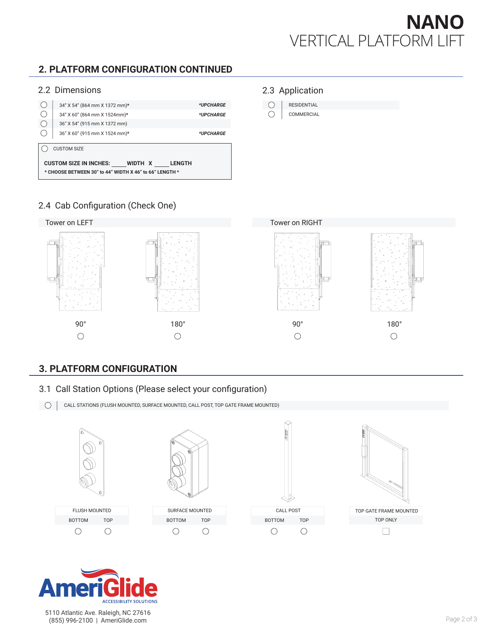

# **2. PLATFORM CONFIGURATION CONTINUED**

#### 2.2 Dimensions



#### 2.3 Application

 $\bigcirc$ RESIDENTIAL  $\bigcirc$ COMMERCIAL

# 2.4 Cab Configuration (Check One)



#### **3. PLATFORM CONFIGURATION**

3.1 Call Station Options (Please select your configuration)





5110 Atlantic Ave. Raleigh, NC 27616 (855) 996-2100 | AmeriGlide.com